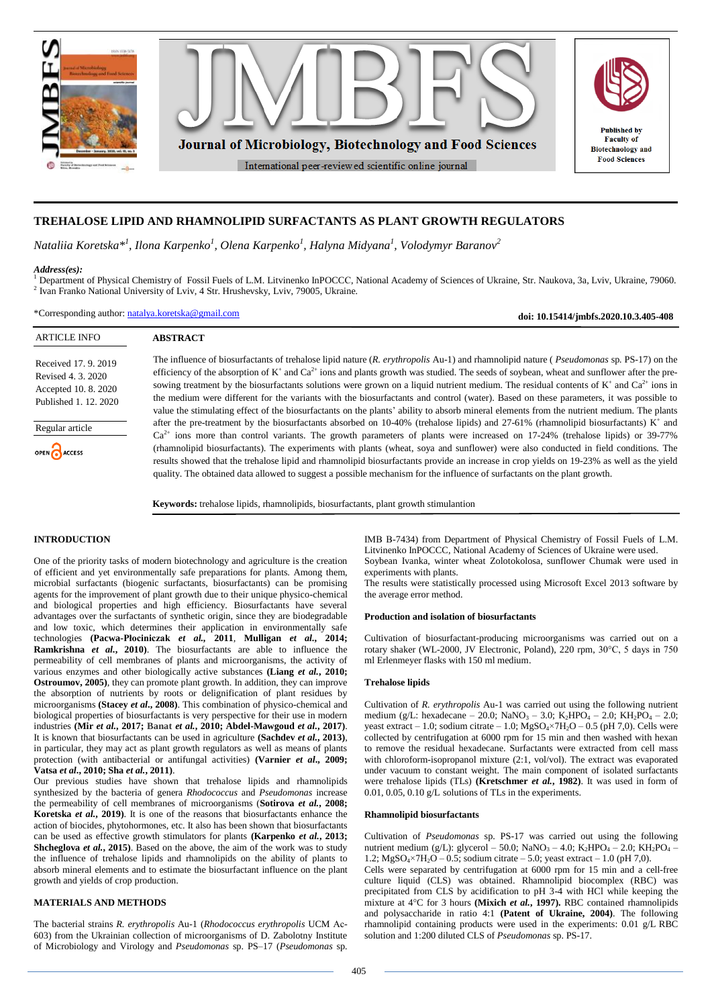

# **TREHALOSE LIPID AND RHAMNOLIPID SURFACTANTS AS PLANT GROWTH REGULATORS**

*Nataliia Koretska\* 1 , Ilona Karpenko<sup>1</sup> , Olena Karpenko<sup>1</sup> , Halyna Midyana<sup>1</sup> , Volodymyr Baranov<sup>2</sup>*

### *Address(es):*

1 Department of Physical Chemistry of Fossil Fuels of L.M. Litvinenko InPOCCC, National Academy of Sciences of Ukraine, Str. Naukova, 3a, Lviv, Ukraine, 79060. <sup>2</sup> Ivan Franko National University of Lviv, 4 Str. Hrushevsky, Lviv, 79005, Ukraine.

\*Corresponding author: [natalya.koretska@gmail.com](mailto:natalya.koretska@gmail.com)

**doi: 10.15414/jmbfs.2020.10.3.405-408**

| <b>ARTICLE INFO</b>                                                                         | <b>ABSTRACT</b>                                                                                                                                                                                                                                                                                                                                                                                                                                                                                                                                                                                                                                                                                                                   |
|---------------------------------------------------------------------------------------------|-----------------------------------------------------------------------------------------------------------------------------------------------------------------------------------------------------------------------------------------------------------------------------------------------------------------------------------------------------------------------------------------------------------------------------------------------------------------------------------------------------------------------------------------------------------------------------------------------------------------------------------------------------------------------------------------------------------------------------------|
| Received 17, 9, 2019<br>Revised 4, 3, 2020<br>Accepted 10, 8, 2020<br>Published 1, 12, 2020 | The influence of biosurfactants of trehalose lipid nature (R. erythropolis Au-1) and rhamnolipid nature (Pseudomonas sp. PS-17) on the<br>efficiency of the absorption of $K^+$ and $Ca^{2+}$ ions and plants growth was studied. The seeds of soybean, wheat and sunflower after the pre-<br>sowing treatment by the biosurfactants solutions were grown on a liquid nutrient medium. The residual contents of $K^+$ and $Ca^{2+}$ ions in<br>the medium were different for the variants with the biosurfactants and control (water). Based on these parameters, it was possible to<br>value the stimulating effect of the biosurfactants on the plants' ability to absorb mineral elements from the nutrient medium. The plants |
| Regular article<br>OPEN CACCESS                                                             | after the pre-treatment by the biosurfactants absorbed on 10-40% (trehalose lipids) and 27-61% (rhamnolipid biosurfactants) $K^+$ and<br>$Ca^{2+}$ ions more than control variants. The growth parameters of plants were increased on 17-24% (trehalose lipids) or 39-77%<br>(rhamnolipid biosurfactants). The experiments with plants (wheat, soya and sunflower) were also conducted in field conditions. The<br>results showed that the trehalose lipid and rhamnolipid biosurfactants provide an increase in crop yields on 19-23% as well as the yield<br>quality. The obtained data allowed to suggest a possible mechanism for the influence of surfactants on the plant growth.                                           |

**Keywords:** trehalose lipids, rhamnolipids, biosurfactants, plant growth stimulantion

# **INTRODUCTION**

One of the priority tasks of modern biotechnology and agriculture is the creation of efficient and yet environmentally safe preparations for plants. Among them, microbial surfactants (biogenic surfactants, biosurfactants) can be promising agents for the improvement of plant growth due to their unique physico-chemical and biological properties and high efficiency. Biosurfactants have several advantages over the surfactants of synthetic origin, since they are biodegradable and low toxic, which determines their application in environmentally safe technologies **(Pacwa-Płociniczak** *et al.,* **2011***,* **Mulligan** *et al.***, 2014; Ramkrishna** *et al.***, 2010)**. The biosurfactants are able to influence the permeability of cell membranes of plants and microorganisms, the activity of various enzymes and other biologically active substances **(Liang** *et al.***, 2010; Ostroumov, 2005)**, they can promote plant growth. In addition, they can improve the absorption of nutrients by roots or delignification of plant residues by microorganisms **(Stacey** *et al***., 2008)**. This combination of physico-chemical and biological properties of biosurfactants is very perspective for their use in modern industries **(Mir** *et al.***, 2017; Banat** *et al.***, 2010; Abdel-Mawgoud** *et al.***, 2017)**. It is known that biosurfactants can be used in agriculture **(Sachdev** *et al.***, 2013)**, in particular, they may act as plant growth regulators as well as means of plants protection (with antibacterial or antifungal activities) **(Varnier** *et al***., 2009; Vatsa** *et al***., 2010; Sha** *et al.***, 2011)**.

Our previous studies have shown that trehalose lipids and rhamnolipids synthesized by the bacteria of genera *Rhodococcus* and *Pseudomonas* increase the permeability of cell membranes of microorganisms (**Sotirova** *et al.***, 2008; Koretska** *et al.***, 2019)**. It is one of the reasons that biosurfactants enhance the action of biocides, phytohormones, etc. It also has been shown that biosurfactants can be used as effective growth stimulators for plants **(Karpenko** *et al.***, 2013; Shcheglova** *et al.***, 2015)**. Based on the above, the aim of the work was to study the influence of trehalose lipids and rhamnolipids on the ability of plants to absorb mineral elements and to estimate the biosurfactant influence on the plant growth and yields of crop production.

# **MATERIALS AND METHODS**

The bacterial strains *R. erythropolis* Au-1 (*Rhodococcus erythropolis* UCM Ас-603) from the Ukrainian collection of microorganisms of D. Zabolotny Institute of Microbiology and Virology and *Pseudomonas* sp. PS–17 (*Pseudomonas* sp*.* ІМВ В-7434) from Department of Physical Chemistry of Fossil Fuels of L.M. Litvinenko InPOCCC, National Academy of Sciences of Ukraine were used. Soybean Ivanka, winter wheat Zolotokolosa, sunflower Chumak were used in experiments with plants.

The results were statistically processed using Microsoft Excel 2013 software by the average error method.

#### **Production and isolation of biosurfactants**

Cultivation of biosurfactant-producing microorganisms was carried out on a rotary shaker (WL-2000, JV Electronic, Poland), 220 rpm, 30°C, 5 days in 750 ml Erlenmeyer flasks with 150 ml medium.

#### **Trehalose lipids**

Cultivation of *R. erythropolis* Au-1 was carried out using the following nutrient medium (g/L: hexadecane – 20.0; NaNO<sub>3</sub> – 3.0; K<sub>2</sub>HPO<sub>4</sub> – 2.0; KH<sub>2</sub>PO<sub>4</sub> – 2.0; yeast extract – 1.0; sodium citrate – 1.0;  $MgSO_4 \times 7H_2O - 0.5$  (pH 7,0). Cells were collected by centrifugation at 6000 rpm for 15 min and then washed with hexan to remove the residual hexadecane. Surfactants were extracted from cell mass with chloroform-isopropanol mixture (2:1, vol/vol). The extract was evaporated under vacuum to constant weight. The main component of isolated surfactants were trehalose lipids (TLs) **(Kretschmer** *et al.***, 1982)**. It was used in form of 0.01, 0.05, 0.10 g/L solutions of TLs in the experiments.

#### **Rhamnolipid biosurfactants**

Cultivation of *Pseudomonas* sp. PS-17 was carried out using the following nutrient medium (g/L): glycerol – 50.0; NaNO<sub>3</sub> – 4.0; K<sub>2</sub>HPO<sub>4</sub> – 2.0; KH<sub>2</sub>PO<sub>4</sub> – 1.2;  $MgSO_4 \times 7H_2O - 0.5$ ; sodium citrate  $- 5.0$ ; yeast extract  $- 1.0$  (pH 7,0).

Cells were separated by centrifugation at 6000 rpm for 15 min and a cell-free culture liquid (CLS) was obtained. Rhamnolipid biocomplex (RBC) was precipitated from CLS by acidification to pH 3-4 with HCl while keeping the mixture at 4°C for 3 hours **(Mixich** *et al.***, 1997).** RBC contained rhamnolipids and polysaccharide in ratio 4:1 **(Patent of Ukraine, 2004)**. The following rhamnolipid containing products were used in the experiments: 0.01 g/L RBC solution and 1:200 diluted CLS of *Pseudomonas* sp. PS-17.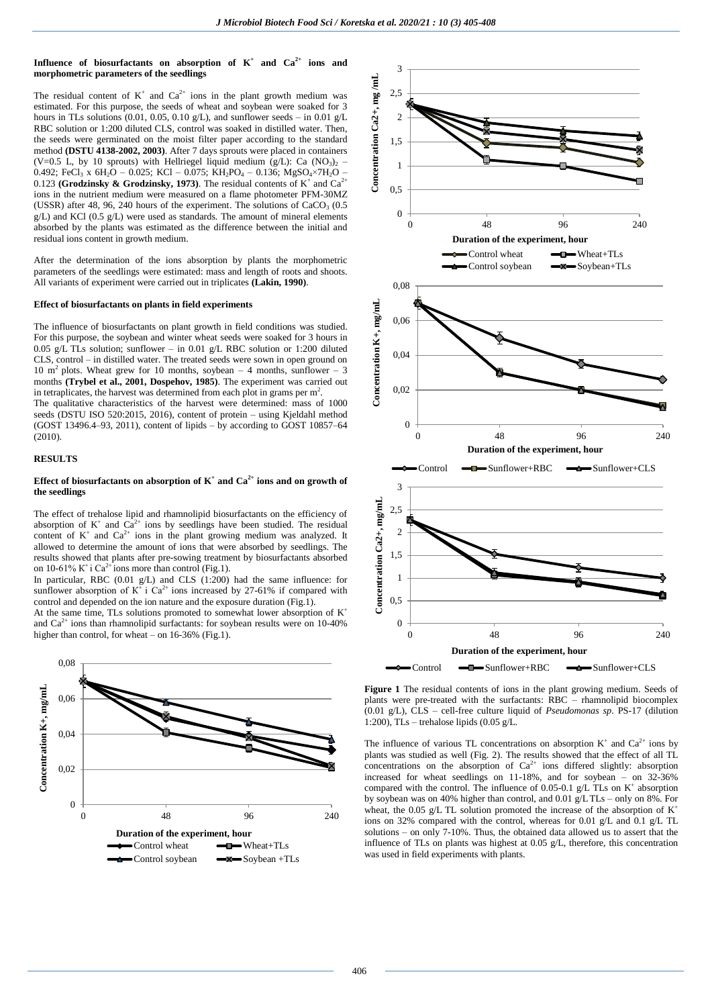# Influence of biosurfactants on absorption of  $K^+$  and  $Ca^{2+}$  ions and **morphometric parameters of the seedlings**

The residual content of  $K^+$  and  $Ca^{2+}$  ions in the plant growth medium was estimated. For this purpose, the seeds of wheat and soybean were soaked for 3 hours in TLs solutions (0.01, 0.05, 0.10 g/L), and sunflower seeds – in 0.01 g/L RBC solution or 1:200 diluted CLS, control was soaked in distilled water. Then, the seeds were germinated on the moist filter paper according to the standard method **(DSTU 4138-2002, 2003)**. After 7 days sprouts were placed in containers (V=0.5 L, by 10 sprouts) with Hellriegel liquid medium (g/L): Ca (NO3)<sub>2</sub> – 0.492; FeCl<sub>3</sub> x 6H<sub>2</sub>O – 0.025; KCl – 0.075; KH<sub>2</sub>PO<sub>4</sub> – 0.136; MgSO<sub>4</sub>×7H<sub>2</sub>O – 0.123 **(Grodzinsky & Grodzinsky, 1973)**. The residual contents of  $K^+$  and  $Ca^{2+}$ ions in the nutrient medium were measured on a flame photometer PFМ-30МZ (USSR) after 48, 96, 240 hours of the experiment. The solutions of  $CaCO<sub>3</sub>$  (0.5)  $g/L$ ) and KCl (0.5  $g/L$ ) were used as standards. The amount of mineral elements absorbed by the plants was estimated as the difference between the initial and residual ions content in growth medium.

After the determination of the ions absorption by plants the morphometric parameters of the seedlings were estimated: mass and length of roots and shoots. All variants of experiment were carried out in triplicates **(Lakin, 1990)**.

#### **Effect of biosurfactants on plants in field experiments**

The influence of biosurfactants on plant growth in field conditions was studied. For this purpose, the soybean and winter wheat seeds were soaked for 3 hours in 0.05 g/L TLs solution; sunflower – in 0.01 g/L RBC solution or 1:200 diluted CLS, control – in distilled water. The treated seeds were sown in open ground on 10 m<sup>2</sup> plots. Wheat grew for 10 months, soybean – 4 months, sunflower – 3 months **(Trybel et al., 2001, Dospehov, 1985)**. The experiment was carried out in tetraplicates, the harvest was determined from each plot in grams per  $m^2$ .

The qualitative characteristics of the harvest were determined: mass of 1000 seeds (DSTU ISO 520:2015, 2016), content of protein – using Kjeldahl method (GOST 13496.4–93, 2011), content of lipids – by according to GOST 10857–64  $(2010)$ 

# **RESULTS**

# **Effect of biosurfactants on absorption of**  $K^+$  **and**  $Ca^{2+}$  **ions and on growth of the seedlings**

The effect of trehalose lipid and rhamnolipid biosurfactants on the efficiency of absorption of  $K^+$  and  $Ca^{2+}$  ions by seedlings have been studied. The residual content of  $K^+$  and  $Ca^{2+}$  ions in the plant growing medium was analyzed. It allowed to determine the amount of ions that were absorbed by seedlings. The results showed that plants after pre-sowing treatment by biosurfactants absorbed on 10-61% K<sup>+</sup> i Ca<sup>2+</sup> ions more than control (Fig.1).

In particular, RBC (0.01 g/L) and CLS (1:200) had the same influence: for sunflower absorption of  $K^+$  i Ca<sup>2+</sup> ions increased by 27-61% if compared with control and depended on the ion nature and the exposure duration (Fig.1).

At the same time, TLs solutions promoted to somewhat lower absorption of  $K^+$ and  $Ca<sup>2+</sup>$  ions than rhamnolipid surfactants: for soybean results were on 10-40% higher than control, for wheat – on 16-36% (Fig.1).





**Figure 1** The residual contents of ions in the plant growing medium. Seeds of plants were pre-treated with the surfactants: RBC – rhamnolipid biocomplex (0.01 g/L), CLS – cell-free culture liquid of *Pseudomonas sp*. PS-17 (dilution 1:200), TLs – trehalose lipids  $(0.05 \text{ g/L})$ .

The influence of various TL concentrations on absorption  $K^+$  and  $Ca^{2+}$  ions by plants was studied as well (Fig. 2). The results showed that the effect of all TL concentrations on the absorption of  $Ca^{2+}$  ions differed slightly: absorption increased for wheat seedlings on 11-18%, and for soybean – on 32-36% compared with the control. The influence of 0.05-0.1 g/L TLs on  $K^+$  absorption by soybean was on 40% higher than control, and 0.01 g/LTLs – only on 8%. For wheat, the 0.05 g/L TL solution promoted the increase of the absorption of  $K^+$ ions on 32% compared with the control, whereas for 0.01 g/L and 0.1 g/L TL solutions – on only 7-10%. Thus, the obtained data allowed us to assert that the influence of TLs on plants was highest at 0.05 g/L, therefore, this concentration was used in field experiments with plants.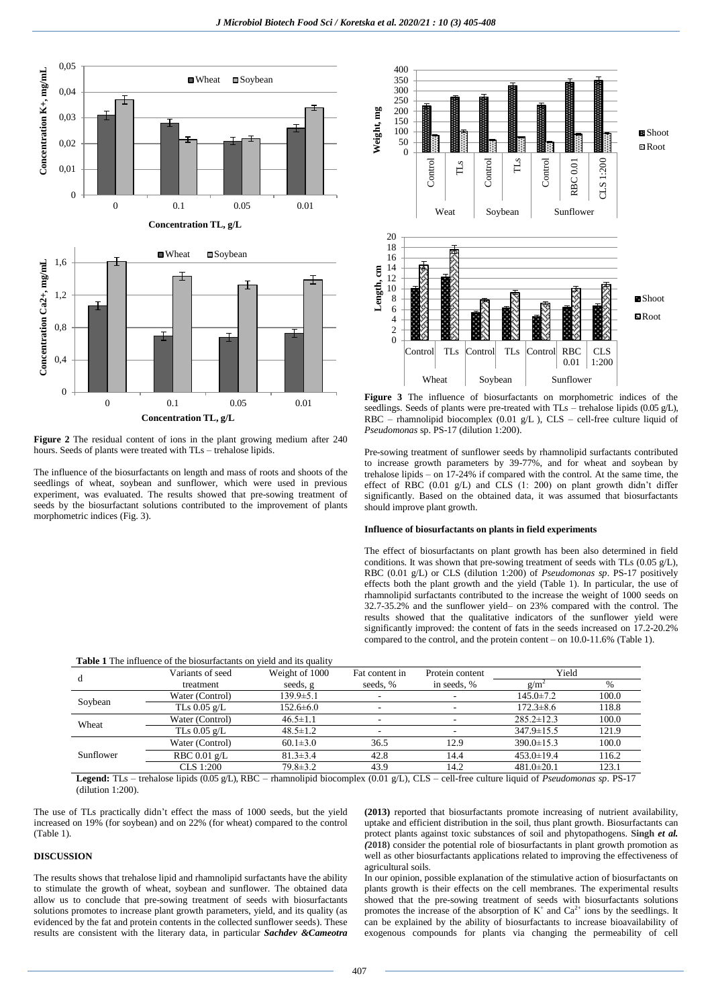

**Figure 2** The residual content of ions in the plant growing medium after 240 hours. Seeds of plants were treated with TLs – trehalose lipids.

The influence of the biosurfactants on length and mass of roots and shoots of the seedlings of wheat, soybean and sunflower, which were used in previous experiment, was evaluated. The results showed that pre-sowing treatment of seeds by the biosurfactant solutions contributed to the improvement of plants morphometric indices (Fig. 3).



**Figure 3** The influence of biosurfactants on morphometric indices of the seedlings. Seeds of plants were pre-treated with TLs – trehalose lipids (0.05 g/L), RBC – rhamnolipid biocomplex (0.01 g/L ), CLS – cell-free culture liquid of *Pseudomonas* sp. PS-17 (dilution 1:200).

Pre-sowing treatment of sunflower seeds by rhamnolipid surfactants contributed to increase growth parameters by 39-77%, and for wheat and soybean by trehalose lipids – on 17-24% if compared with the control. At the same time, the effect of RBC (0.01 g/L) and CLS (1: 200) on plant growth didn't differ significantly. Based on the obtained data, it was assumed that biosurfactants should improve plant growth.

### **Influence of biosurfactants on plants in field experiments**

The effect of biosurfactants on plant growth has been also determined in field conditions. It was shown that pre-sowing treatment of seeds with TLs (0.05 g/L), RBC (0.01 g/L) or CLS (dilution 1:200) of *Pseudomonas sp*. PS-17 positively effects both the plant growth and the yield (Table 1). In particular, the use of rhamnolipid surfactants contributed to the increase the weight of 1000 seeds on 32.7-35.2% and the sunflower yield– on 23% compared with the control. The results showed that the qualitative indicators of the sunflower yield were significantly improved: the content of fats in the seeds increased on 17.2-20.2% compared to the control, and the protein content – on 10.0-11.6% (Table 1).

| <b>Table 1</b> The influence of the biosurfactants on yield and its quality |                        |                 |                          |                 |                  |       |  |  |
|-----------------------------------------------------------------------------|------------------------|-----------------|--------------------------|-----------------|------------------|-------|--|--|
| d                                                                           | Variants of seed       | Weight of 1000  | Fat content in           | Protein content | Yield            |       |  |  |
|                                                                             | treatment              | seeds, g        | seeds, %                 | in seeds, %     | g/m <sup>2</sup> | $\%$  |  |  |
| Soybean                                                                     | Water (Control)        | $139.9 \pm 5.1$ | $\overline{\phantom{a}}$ |                 | $145.0 \pm 7.2$  | 100.0 |  |  |
|                                                                             | TLs $0.05$ g/L         | $152.6 \pm 6.0$ | $\overline{\phantom{a}}$ |                 | $172.3 \pm 8.6$  | 118.8 |  |  |
| Wheat                                                                       | Water (Control)        | $46.5 \pm 1.1$  | $\overline{\phantom{a}}$ |                 | $285.2 \pm 12.3$ | 100.0 |  |  |
|                                                                             | TLs $0.05$ g/L         | $48.5 \pm 1.2$  | $\overline{\phantom{a}}$ |                 | $347.9 \pm 15.5$ | 121.9 |  |  |
| Sunflower                                                                   | Water (Control)        | $60.1 \pm 3.0$  | 36.5                     | 12.9            | $390.0 \pm 15.3$ | 100.0 |  |  |
|                                                                             | RBC $0.01 \text{ g/L}$ | $81.3 \pm 3.4$  | 42.8                     | 14.4            | $453.0 \pm 19.4$ | 116.2 |  |  |
|                                                                             | $CLS$ 1:200            | $79.8 \pm 3.2$  | 43.9                     | 14.2            | $481.0 \pm 20.1$ | 123.1 |  |  |

**Legend:** TLs – trehalose lipids (0.05 g/L), RBC – rhamnolipid biocomplex (0.01 g/L), CLS – cell-free culture liquid of *Pseudomonas sp*. PS-17 (dilution 1:200).

The use of TLs practically didn't effect the mass of 1000 seeds, but the yield increased on 19% (for soybean) and on 22% (for wheat) compared to the control (Table 1).

# **DISCUSSION**

The results shows that trehalose lipid and rhamnolipid surfactants have the ability to stimulate the growth of wheat, soybean and sunflower. The obtained data allow us to conclude that pre-sowing treatment of seeds with biosurfactants solutions promotes to increase plant growth parameters, yield, and its quality (as evidenced by the fat and protein contents in the collected sunflower seeds). These results are consistent with the literary data, in particular *Sachdev &Cameotra* **(2013)** reported that biosurfactants promote increasing of nutrient availability, uptake and efficient distribution in the soil, thus plant growth. Biosurfactants can protect plants against toxic substances of soil and phytopathogens. **Singh** *et al. (***2018)** consider the potential role of biosurfactants in plant growth promotion as well as other biosurfactants applications related to improving the effectiveness of agricultural soils.

In our opinion, possible explanation of the stimulative action of biosurfactants on plants growth is their effects on the cell membranes. The experimental results showed that the pre-sowing treatment of seeds with biosurfactants solutions promotes the increase of the absorption of  $K^+$  and  $Ca^{2+}$  ions by the seedlings. It can be explained by the ability of biosurfactants to increase bioavailability of exogenous compounds for plants via changing the permeability of cell